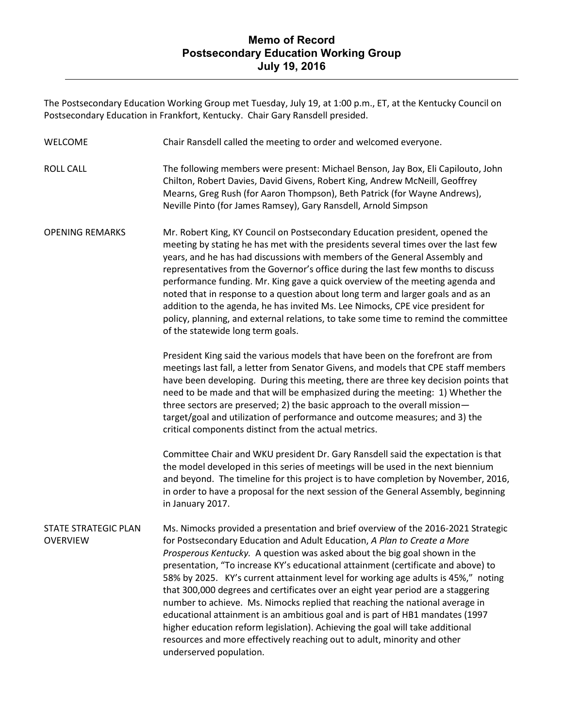The Postsecondary Education Working Group met Tuesday, July 19, at 1:00 p.m., ET, at the Kentucky Council on Postsecondary Education in Frankfort, Kentucky. Chair Gary Ransdell presided.

| <b>WELCOME</b>                                 | Chair Ransdell called the meeting to order and welcomed everyone.                                                                                                                                                                                                                                                                                                                                                                                                                                                                                                                                                                                                                                                                                                                                                                                                 |
|------------------------------------------------|-------------------------------------------------------------------------------------------------------------------------------------------------------------------------------------------------------------------------------------------------------------------------------------------------------------------------------------------------------------------------------------------------------------------------------------------------------------------------------------------------------------------------------------------------------------------------------------------------------------------------------------------------------------------------------------------------------------------------------------------------------------------------------------------------------------------------------------------------------------------|
| <b>ROLL CALL</b>                               | The following members were present: Michael Benson, Jay Box, Eli Capilouto, John<br>Chilton, Robert Davies, David Givens, Robert King, Andrew McNeill, Geoffrey<br>Mearns, Greg Rush (for Aaron Thompson), Beth Patrick (for Wayne Andrews),<br>Neville Pinto (for James Ramsey), Gary Ransdell, Arnold Simpson                                                                                                                                                                                                                                                                                                                                                                                                                                                                                                                                                   |
| <b>OPENING REMARKS</b>                         | Mr. Robert King, KY Council on Postsecondary Education president, opened the<br>meeting by stating he has met with the presidents several times over the last few<br>years, and he has had discussions with members of the General Assembly and<br>representatives from the Governor's office during the last few months to discuss<br>performance funding. Mr. King gave a quick overview of the meeting agenda and<br>noted that in response to a question about long term and larger goals and as an<br>addition to the agenda, he has invited Ms. Lee Nimocks, CPE vice president for<br>policy, planning, and external relations, to take some time to remind the committee<br>of the statewide long term goals.                                                                                                                                             |
|                                                | President King said the various models that have been on the forefront are from<br>meetings last fall, a letter from Senator Givens, and models that CPE staff members<br>have been developing. During this meeting, there are three key decision points that<br>need to be made and that will be emphasized during the meeting: 1) Whether the<br>three sectors are preserved; 2) the basic approach to the overall mission-<br>target/goal and utilization of performance and outcome measures; and 3) the<br>critical components distinct from the actual metrics.                                                                                                                                                                                                                                                                                             |
|                                                | Committee Chair and WKU president Dr. Gary Ransdell said the expectation is that<br>the model developed in this series of meetings will be used in the next biennium<br>and beyond. The timeline for this project is to have completion by November, 2016,<br>in order to have a proposal for the next session of the General Assembly, beginning<br>in January 2017.                                                                                                                                                                                                                                                                                                                                                                                                                                                                                             |
| <b>STATE STRATEGIC PLAN</b><br><b>OVERVIEW</b> | Ms. Nimocks provided a presentation and brief overview of the 2016-2021 Strategic<br>for Postsecondary Education and Adult Education, A Plan to Create a More<br>Prosperous Kentucky. A question was asked about the big goal shown in the<br>presentation, "To increase KY's educational attainment (certificate and above) to<br>58% by 2025. KY's current attainment level for working age adults is 45%," noting<br>that 300,000 degrees and certificates over an eight year period are a staggering<br>number to achieve. Ms. Nimocks replied that reaching the national average in<br>educational attainment is an ambitious goal and is part of HB1 mandates (1997<br>higher education reform legislation). Achieving the goal will take additional<br>resources and more effectively reaching out to adult, minority and other<br>underserved population. |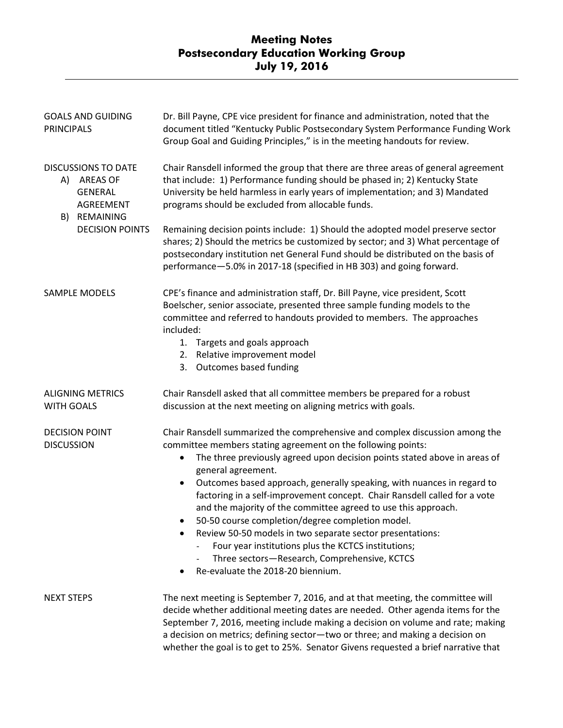## **Meeting Notes Postsecondary Education Working Group July 19, 2016**

| <b>GOALS AND GUIDING</b><br><b>PRINCIPALS</b>                                                                                | Dr. Bill Payne, CPE vice president for finance and administration, noted that the<br>document titled "Kentucky Public Postsecondary System Performance Funding Work<br>Group Goal and Guiding Principles," is in the meeting handouts for review.                                                                                                                                                                                                                                                                                                                                                                                                                                                                                                       |
|------------------------------------------------------------------------------------------------------------------------------|---------------------------------------------------------------------------------------------------------------------------------------------------------------------------------------------------------------------------------------------------------------------------------------------------------------------------------------------------------------------------------------------------------------------------------------------------------------------------------------------------------------------------------------------------------------------------------------------------------------------------------------------------------------------------------------------------------------------------------------------------------|
| <b>DISCUSSIONS TO DATE</b><br>A) AREAS OF<br><b>GENERAL</b><br><b>AGREEMENT</b><br>REMAINING<br>B)<br><b>DECISION POINTS</b> | Chair Ransdell informed the group that there are three areas of general agreement<br>that include: 1) Performance funding should be phased in; 2) Kentucky State<br>University be held harmless in early years of implementation; and 3) Mandated<br>programs should be excluded from allocable funds.<br>Remaining decision points include: 1) Should the adopted model preserve sector<br>shares; 2) Should the metrics be customized by sector; and 3) What percentage of                                                                                                                                                                                                                                                                            |
|                                                                                                                              | postsecondary institution net General Fund should be distributed on the basis of<br>performance-5.0% in 2017-18 (specified in HB 303) and going forward.                                                                                                                                                                                                                                                                                                                                                                                                                                                                                                                                                                                                |
| SAMPLE MODELS                                                                                                                | CPE's finance and administration staff, Dr. Bill Payne, vice president, Scott<br>Boelscher, senior associate, presented three sample funding models to the<br>committee and referred to handouts provided to members. The approaches<br>included:<br>1. Targets and goals approach<br>2. Relative improvement model<br>3. Outcomes based funding                                                                                                                                                                                                                                                                                                                                                                                                        |
| <b>ALIGNING METRICS</b><br><b>WITH GOALS</b>                                                                                 | Chair Ransdell asked that all committee members be prepared for a robust<br>discussion at the next meeting on aligning metrics with goals.                                                                                                                                                                                                                                                                                                                                                                                                                                                                                                                                                                                                              |
| <b>DECISION POINT</b><br><b>DISCUSSION</b>                                                                                   | Chair Ransdell summarized the comprehensive and complex discussion among the<br>committee members stating agreement on the following points:<br>The three previously agreed upon decision points stated above in areas of<br>٠<br>general agreement.<br>Outcomes based approach, generally speaking, with nuances in regard to<br>$\bullet$<br>factoring in a self-improvement concept. Chair Ransdell called for a vote<br>and the majority of the committee agreed to use this approach.<br>50-50 course completion/degree completion model.<br>Review 50-50 models in two separate sector presentations:<br>Four year institutions plus the KCTCS institutions;<br>Three sectors-Research, Comprehensive, KCTCS<br>Re-evaluate the 2018-20 biennium. |
| <b>NEXT STEPS</b>                                                                                                            | The next meeting is September 7, 2016, and at that meeting, the committee will<br>decide whether additional meeting dates are needed. Other agenda items for the<br>September 7, 2016, meeting include making a decision on volume and rate; making<br>a decision on metrics; defining sector-two or three; and making a decision on<br>whether the goal is to get to 25%. Senator Givens requested a brief narrative that                                                                                                                                                                                                                                                                                                                              |